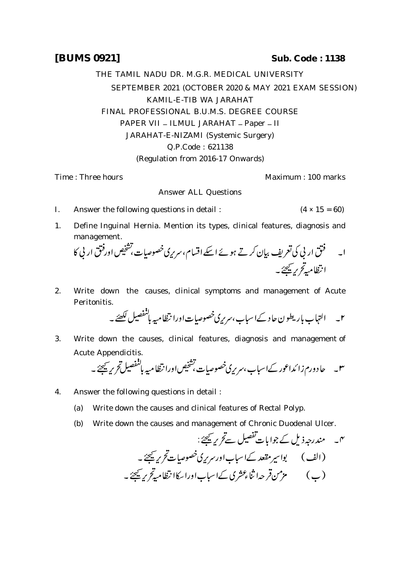## **[BUMS 0921] Sub. Code : 1138**

THE TAMIL NADU DR. M.G.R. MEDICAL UNIVERSITY SEPTEMBER 2021 (OCTOBER 2020 & MAY 2021 EXAM SESSION) KAMIL-E-TIB WA JARAHAT FINAL PROFESSIONAL B.U.M.S. DEGREE COURSE PAPER VII - ILMUL JARAHAT - Paper - II JARAHAT-E-NIZAMI (Systemic Surgery) Q.P.Code : 621138 (Regulation from 2016-17 Onwards)

Time : Three hours **Maximum** : 100 marks

## Answer ALL Questions

- I. Answer the following questions in detail :  $(4 \times 15 = 60)$
- 1. Define Inguinal Hernia. Mention its types, clinical features, diagnosis and management.

 

2. Write down the causes, clinical symptoms and management of Acute Peritonitis.

 

3. Write down the causes, clinical features, diagnosis and management of Acute Appendicitis.

- 4. Answer the following questions in detail :
	- (a) Write down the causes and clinical features of Rectal Polyp.
	- (b) Write down the causes and management of Chronic Duodenal Ulcer.